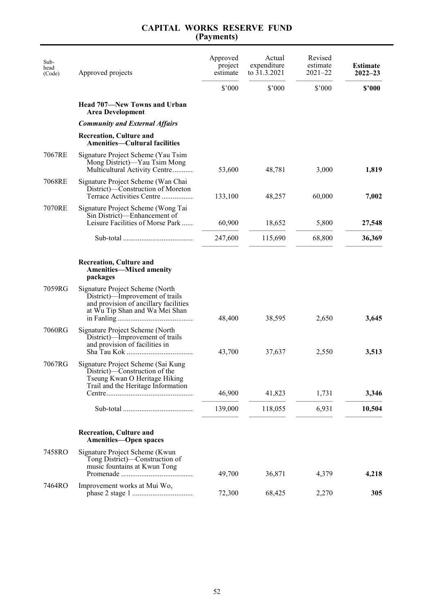| Sub-<br>head<br>(Code) | Approved projects                                                                                                                             | Approved<br>project<br>estimate | Actual<br>expenditure<br>to 31.3.2021 | Revised<br>estimate<br>$2021 - 22$ | <b>Estimate</b><br>$2022 - 23$ |
|------------------------|-----------------------------------------------------------------------------------------------------------------------------------------------|---------------------------------|---------------------------------------|------------------------------------|--------------------------------|
|                        |                                                                                                                                               | \$'000                          | \$'000                                | \$'000                             | \$'000                         |
|                        | <b>Head 707—New Towns and Urban</b><br><b>Area Development</b>                                                                                |                                 |                                       |                                    |                                |
|                        | <b>Community and External Affairs</b>                                                                                                         |                                 |                                       |                                    |                                |
|                        | <b>Recreation, Culture and</b><br><b>Amenities—Cultural facilities</b>                                                                        |                                 |                                       |                                    |                                |
| 7067RE                 | Signature Project Scheme (Yau Tsim<br>Mong District)—Yau Tsim Mong<br>Multicultural Activity Centre                                           | 53,600                          | 48,781                                | 3,000                              | 1,819                          |
| 7068RE                 | Signature Project Scheme (Wan Chai<br>District)—Construction of Moreton<br>Terrace Activities Centre                                          | 133,100                         | 48,257                                | 60,000                             | 7,002                          |
| 7070RE                 | Signature Project Scheme (Wong Tai<br>Sin District)—Enhancement of                                                                            |                                 |                                       |                                    |                                |
|                        | Leisure Facilities of Morse Park                                                                                                              | 60,900                          | 18,652                                | 5,800                              | 27,548                         |
|                        |                                                                                                                                               | 247,600                         | 115,690                               | 68,800                             | 36,369                         |
|                        | <b>Recreation, Culture and</b><br><b>Amenities-Mixed amenity</b><br>packages                                                                  |                                 |                                       |                                    |                                |
| 7059RG                 | Signature Project Scheme (North<br>District)—Improvement of trails<br>and provision of ancillary facilities<br>at Wu Tip Shan and Wa Mei Shan | 48,400                          | 38,595                                | 2,650                              | 3,645                          |
| 7060RG                 | Signature Project Scheme (North<br>District)—Improvement of trails<br>and provision of facilities in                                          | 43,700                          | 37,637                                | 2,550                              | 3,513                          |
| 7067RG                 | Signature Project Scheme (Sai Kung<br>District)—Construction of the<br>Tseung Kwan O Heritage Hiking<br>Trail and the Heritage Information    |                                 |                                       |                                    |                                |
|                        |                                                                                                                                               | 46,900                          | 41,823                                | 1,731                              | 3,346                          |
|                        |                                                                                                                                               | 139,000                         | 118,055                               | 6,931                              | 10,504                         |
|                        | <b>Recreation, Culture and</b><br><b>Amenities-Open spaces</b>                                                                                |                                 |                                       |                                    |                                |
| 7458RO                 | Signature Project Scheme (Kwun<br>Tong District)-Construction of<br>music fountains at Kwun Tong                                              | 49,700                          | 36,871                                | 4,379                              | 4,218                          |
| 7464RO                 | Improvement works at Mui Wo,                                                                                                                  | 72,300                          | 68,425                                | 2,270                              | 305                            |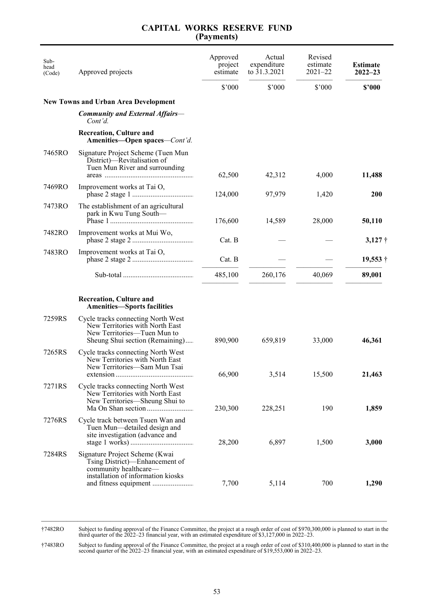| Sub-<br>head<br>(Code) | Approved projects                                                                                                                       | Approved<br>project<br>estimate | Actual<br>expenditure<br>to 31.3.2021 | Revised<br>estimate<br>$2021 - 22$ | <b>Estimate</b><br>$2022 - 23$ |
|------------------------|-----------------------------------------------------------------------------------------------------------------------------------------|---------------------------------|---------------------------------------|------------------------------------|--------------------------------|
|                        |                                                                                                                                         | \$'000                          | \$'000                                | \$'000                             | \$2000                         |
|                        | <b>New Towns and Urban Area Development</b>                                                                                             |                                 |                                       |                                    |                                |
|                        | <b>Community and External Affairs—</b><br>Cont'd.                                                                                       |                                 |                                       |                                    |                                |
|                        | <b>Recreation, Culture and</b><br>Amenities-Open spaces-Cont'd.                                                                         |                                 |                                       |                                    |                                |
| 7465RO                 | Signature Project Scheme (Tuen Mun<br>District)-Revitalisation of<br>Tuen Mun River and surrounding                                     | 62,500                          | 42,312                                | 4,000                              | 11,488                         |
| 7469RO                 | Improvement works at Tai O,                                                                                                             | 124,000                         | 97,979                                | 1,420                              | <b>200</b>                     |
| 7473RO                 | The establishment of an agricultural<br>park in Kwu Tung South-                                                                         | 176,600                         | 14,589                                | 28,000                             | 50,110                         |
| 7482RO                 | Improvement works at Mui Wo,                                                                                                            | Cat. B                          |                                       |                                    | $3,127$ †                      |
| 7483RO                 | Improvement works at Tai O,                                                                                                             | Cat. B                          |                                       |                                    | $19,553 \dagger$               |
|                        |                                                                                                                                         | 485,100                         | 260,176                               | 40,069                             | 89,001                         |
|                        | <b>Recreation, Culture and</b><br><b>Amenities-Sports facilities</b>                                                                    |                                 |                                       |                                    |                                |
| 7259RS                 | Cycle tracks connecting North West<br>New Territories with North East<br>New Territories-Tuen Mun to<br>Sheung Shui section (Remaining) | 890,900                         | 659,819                               | 33,000                             | 46,361                         |
| 7265RS                 | Cycle tracks connecting North West<br>New Territories with North East<br>New Territories-Sam Mun Tsai                                   | 66,900                          | 3,514                                 | 15,500                             | 21,463                         |
| 7271RS                 | Cycle tracks connecting North West<br>New Territories with North East<br>New Territories-Sheung Shui to                                 | 230,300                         | 228,251                               | 190                                | 1,859                          |
| 7276RS                 | Cycle track between Tsuen Wan and<br>Tuen Mun—detailed design and<br>site investigation (advance and                                    | 28,200                          | 6,897                                 | 1,500                              | 3,000                          |
| 7284RS                 | Signature Project Scheme (Kwai<br>Tsing District)—Enhancement of<br>community healthcare-<br>installation of information kiosks         | 7,700                           | 5,114                                 | 700                                | 1,290                          |

\_\_\_\_\_\_\_\_\_\_\_\_\_\_\_\_\_\_\_\_\_\_\_\_\_\_\_\_\_\_\_\_\_\_\_\_\_\_\_\_\_\_\_\_\_\_\_\_\_\_\_\_\_\_\_\_\_\_\_\_\_\_\_\_\_\_\_\_\_\_\_\_\_\_\_\_\_\_\_\_\_\_\_\_\_\_\_\_\_\_\_\_\_\_\_ †7482RO Subject to funding approval of the Finance Committee, the project at a rough order of cost of \$970,300,000 is planned to start in the third quarter of the 2022–23 financial year, with an estimated expenditure of \$3,127,000 in 2022–23.

†7483RO Subject to funding approval of the Finance Committee, the project at a rough order of cost of \$310,400,000 is planned to start in the second quarter of the 2022–23 financial year, with an estimated expenditure of \$19,553,000 in 2022–23.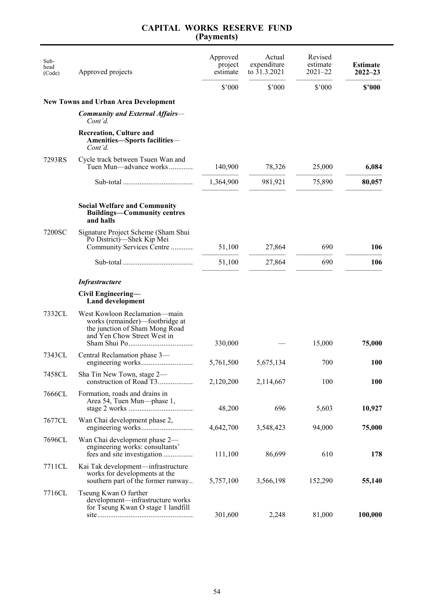| Sub-<br>head<br>(Code) | Approved projects                                                                                                                 | Approved<br>project<br>estimate | Actual<br>expenditure<br>to 31.3.2021 | Revised<br>estimate<br>$2021 - 22$ | <b>Estimate</b><br>$2022 - 23$ |
|------------------------|-----------------------------------------------------------------------------------------------------------------------------------|---------------------------------|---------------------------------------|------------------------------------|--------------------------------|
|                        |                                                                                                                                   | \$'000                          | \$'000                                | $$^{\prime}000$                    | \$'000                         |
|                        | <b>New Towns and Urban Area Development</b>                                                                                       |                                 |                                       |                                    |                                |
|                        | <b>Community and External Affairs-</b><br>Cont'd.                                                                                 |                                 |                                       |                                    |                                |
|                        | <b>Recreation, Culture and</b><br>Amenities-Sports facilities-<br>Cont'd.                                                         |                                 |                                       |                                    |                                |
| 7293RS                 | Cycle track between Tsuen Wan and<br>Tuen Mun—advance works                                                                       | 140,900                         | 78,326                                | 25,000                             | 6,084                          |
|                        |                                                                                                                                   | 1,364,900                       | 981,921                               | 75,890                             | 80,057                         |
|                        | <b>Social Welfare and Community</b><br><b>Buildings—Community centres</b><br>and halls                                            |                                 |                                       |                                    |                                |
| 7200SC                 | Signature Project Scheme (Sham Shui<br>Po District)-Shek Kip Mei<br>Community Services Centre                                     | 51,100                          | 27,864                                | 690                                | 106                            |
|                        |                                                                                                                                   | 51,100                          | 27,864                                | 690                                | 106                            |
|                        | <b>Infrastructure</b>                                                                                                             |                                 |                                       |                                    |                                |
|                        | Civil Engineering—<br><b>Land development</b>                                                                                     |                                 |                                       |                                    |                                |
| 7332CL                 | West Kowloon Reclamation-main<br>works (remainder)—footbridge at<br>the junction of Sham Mong Road<br>and Yen Chow Street West in | 330,000                         |                                       | 15,000                             | 75,000                         |
| 7343CL                 | Central Reclamation phase 3—                                                                                                      | 5,761,500                       | 5,675,134                             | 700                                | <b>100</b>                     |
| 7458CL                 | Sha Tin New Town, stage 2-                                                                                                        | 2,120,200                       | 2,114,667                             | 100                                | <b>100</b>                     |
| 7666CL                 | Formation, roads and drains in<br>Area 54, Tuen Mun—phase 1,                                                                      | 48,200                          | 696                                   | 5,603                              | 10,927                         |
| 7677CL                 | Wan Chai development phase 2,                                                                                                     | 4,642,700                       | 3,548,423                             | 94,000                             | 75,000                         |
| 7696CL                 | Wan Chai development phase 2-<br>engineering works: consultants'                                                                  | 111,100                         | 86,699                                | 610                                | 178                            |
| 7711CL                 | Kai Tak development—infrastructure<br>works for developments at the<br>southern part of the former runway                         | 5,757,100                       | 3,566,198                             | 152,290                            | 55,140                         |
| 7716CL                 | Tseung Kwan O further<br>development-infrastructure works<br>for Tseung Kwan O stage 1 landfill                                   | 301,600                         | 2,248                                 | 81,000                             | 100,000                        |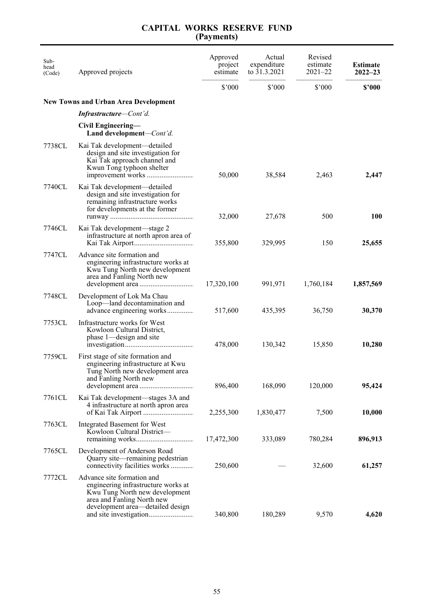| Sub-<br>head<br>(Code) | Approved projects                                                                                                                                                     | Approved<br>project<br>estimate | Actual<br>expenditure<br>to 31.3.2021 | Revised<br>estimate<br>$2021 - 22$ | <b>Estimate</b><br>$2022 - 23$ |
|------------------------|-----------------------------------------------------------------------------------------------------------------------------------------------------------------------|---------------------------------|---------------------------------------|------------------------------------|--------------------------------|
|                        |                                                                                                                                                                       | \$3000                          | \$'000                                | $$^{\prime}000$                    | \$'000                         |
|                        | <b>New Towns and Urban Area Development</b>                                                                                                                           |                                 |                                       |                                    |                                |
|                        | <b>Infrastructure</b> —Cont'd.                                                                                                                                        |                                 |                                       |                                    |                                |
|                        | Civil Engineering-<br>Land development—Cont'd.                                                                                                                        |                                 |                                       |                                    |                                |
| 7738CL                 | Kai Tak development—detailed<br>design and site investigation for<br>Kai Tak approach channel and<br>Kwun Tong typhoon shelter                                        | 50,000                          | 38,584                                | 2,463                              | 2,447                          |
| 7740CL                 | Kai Tak development—detailed<br>design and site investigation for<br>remaining infrastructure works<br>for developments at the former                                 | 32,000                          | 27,678                                | 500                                | <b>100</b>                     |
| 7746CL                 | Kai Tak development—stage 2<br>infrastructure at north apron area of                                                                                                  | 355,800                         | 329,995                               | 150                                | 25,655                         |
| 7747CL                 | Advance site formation and<br>engineering infrastructure works at<br>Kwu Tung North new development<br>area and Fanling North new                                     | 17,320,100                      | 991,971                               | 1,760,184                          | 1,857,569                      |
| 7748CL                 | Development of Lok Ma Chau<br>Loop—land decontamination and<br>advance engineering works                                                                              | 517,600                         | 435,395                               | 36,750                             | 30,370                         |
| 7753CL                 | Infrastructure works for West<br>Kowloon Cultural District,<br>phase 1—design and site                                                                                | 478,000                         | 130,342                               | 15,850                             | 10,280                         |
| 7759CL                 | First stage of site formation and<br>engineering infrastructure at Kwu<br>Tung North new development area<br>and Fanling North new                                    | 896,400                         | 168,090                               | 120,000                            | 95,424                         |
| 7761CL                 | Kai Tak development—stages 3A and<br>4 infrastructure at north apron area                                                                                             | 2,255,300                       | 1,830,477                             | 7,500                              | 10,000                         |
| 7763CL                 | Integrated Basement for West<br>Kowloon Cultural District-                                                                                                            | 17,472,300                      | 333,089                               | 780,284                            | 896,913                        |
| 7765CL                 | Development of Anderson Road<br>Quarry site—remaining pedestrian<br>connectivity facilities works                                                                     | 250,600                         |                                       | 32,600                             | 61,257                         |
| 7772CL                 | Advance site formation and<br>engineering infrastructure works at<br>Kwu Tung North new development<br>area and Fanling North new<br>development area—detailed design | 340,800                         | 180,289                               | 9,570                              | 4,620                          |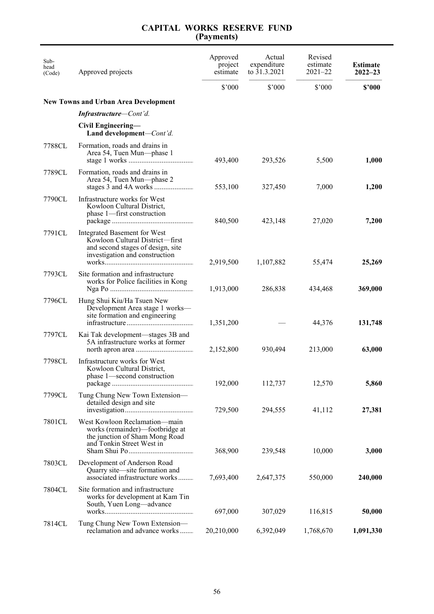| Sub-<br>head<br>(Code) | Approved projects                                                                                                                      | Approved<br>project<br>estimate | Actual<br>expenditure<br>to 31.3.2021 | Revised<br>estimate<br>$2021 - 22$ | <b>Estimate</b><br>$2022 - 23$ |
|------------------------|----------------------------------------------------------------------------------------------------------------------------------------|---------------------------------|---------------------------------------|------------------------------------|--------------------------------|
|                        |                                                                                                                                        | \$'000                          | \$'000                                | $$^{\prime}000$                    | \$'000                         |
|                        | <b>New Towns and Urban Area Development</b>                                                                                            |                                 |                                       |                                    |                                |
|                        | Infrastructure-Cont'd.                                                                                                                 |                                 |                                       |                                    |                                |
|                        | Civil Engineering-<br>Land development-Cont'd.                                                                                         |                                 |                                       |                                    |                                |
| 7788CL                 | Formation, roads and drains in<br>Area 54, Tuen Mun—phase 1                                                                            | 493,400                         | 293,526                               | 5,500                              | 1,000                          |
| 7789CL                 | Formation, roads and drains in<br>Area 54, Tuen Mun—phase 2                                                                            | 553,100                         | 327,450                               | 7,000                              | 1,200                          |
| 7790CL                 | Infrastructure works for West<br>Kowloon Cultural District,<br>phase 1-first construction                                              | 840,500                         | 423,148                               | 27,020                             | 7,200                          |
| 7791CL                 | Integrated Basement for West<br>Kowloon Cultural District-first<br>and second stages of design, site<br>investigation and construction | 2,919,500                       | 1,107,882                             | 55,474                             | 25,269                         |
| 7793CL                 | Site formation and infrastructure<br>works for Police facilities in Kong                                                               | 1,913,000                       | 286,838                               | 434,468                            | 369,000                        |
| 7796CL                 | Hung Shui Kiu/Ha Tsuen New<br>Development Area stage 1 works-<br>site formation and engineering                                        | 1,351,200                       |                                       | 44,376                             | 131,748                        |
| 7797CL                 | Kai Tak development—stages 3B and<br>5A infrastructure works at former                                                                 | 2,152,800                       | 930,494                               | 213,000                            | 63,000                         |
| 7798CL                 | Infrastructure works for West<br>Kowloon Cultural District,<br>phase 1—second construction                                             | 192,000                         | 112,737                               | 12,570                             | 5,860                          |
| 7799CL                 | Tung Chung New Town Extension-<br>detailed design and site                                                                             | 729,500                         | 294,555                               | 41,112                             | 27,381                         |
| 7801CL                 | West Kowloon Reclamation-main<br>works (remainder)—footbridge at<br>the junction of Sham Mong Road<br>and Tonkin Street West in        | 368,900                         | 239,548                               | 10,000                             | 3,000                          |
| 7803CL                 | Development of Anderson Road<br>Quarry site-site formation and<br>associated infrastructure works                                      | 7,693,400                       | 2,647,375                             | 550,000                            | 240,000                        |
| 7804CL                 | Site formation and infrastructure<br>works for development at Kam Tin<br>South, Yuen Long-advance                                      | 697,000                         | 307,029                               | 116,815                            | 50,000                         |
| 7814CL                 | Tung Chung New Town Extension-<br>reclamation and advance works                                                                        | 20,210,000                      | 6,392,049                             | 1,768,670                          | 1,091,330                      |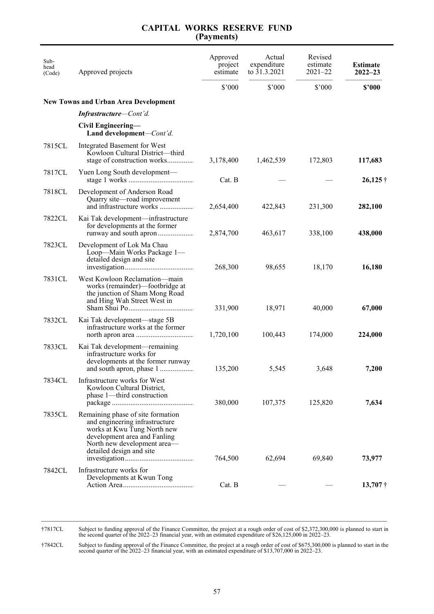| Sub-<br>head<br>(Code) | Approved projects                                                                                                                                                                             | Approved<br>project<br>estimate | Actual<br>expenditure<br>to 31.3.2021 | Revised<br>estimate<br>$2021 - 22$ | <b>Estimate</b><br>$2022 - 23$ |
|------------------------|-----------------------------------------------------------------------------------------------------------------------------------------------------------------------------------------------|---------------------------------|---------------------------------------|------------------------------------|--------------------------------|
|                        |                                                                                                                                                                                               | \$'000                          | \$'000                                | $$^{\prime}000$                    | \$2000                         |
|                        | <b>New Towns and Urban Area Development</b>                                                                                                                                                   |                                 |                                       |                                    |                                |
|                        | <b>Infrastructure–Cont'd.</b>                                                                                                                                                                 |                                 |                                       |                                    |                                |
|                        | Civil Engineering-<br>Land development-Cont'd.                                                                                                                                                |                                 |                                       |                                    |                                |
| 7815CL                 | Integrated Basement for West<br>Kowloon Cultural District-third<br>stage of construction works                                                                                                | 3,178,400                       | 1,462,539                             | 172,803                            | 117,683                        |
| 7817CL                 | Yuen Long South development—                                                                                                                                                                  | Cat. B                          |                                       |                                    | $26,125$ †                     |
| 7818CL                 | Development of Anderson Road<br>Quarry site-road improvement<br>and infrastructure works                                                                                                      | 2,654,400                       | 422,843                               | 231,300                            | 282,100                        |
| 7822CL                 | Kai Tak development—infrastructure<br>for developments at the former                                                                                                                          | 2,874,700                       | 463,617                               | 338,100                            | 438,000                        |
| 7823CL                 | Development of Lok Ma Chau<br>Loop-Main Works Package 1-<br>detailed design and site                                                                                                          | 268,300                         | 98,655                                | 18,170                             | 16,180                         |
| 7831CL                 | West Kowloon Reclamation—main<br>works (remainder)—footbridge at<br>the junction of Sham Mong Road<br>and Hing Wah Street West in                                                             | 331,900                         | 18,971                                | 40,000                             | 67,000                         |
| 7832CL                 | Kai Tak development—stage 5B<br>infrastructure works at the former                                                                                                                            | 1,720,100                       | 100,443                               | 174,000                            | 224,000                        |
| 7833CL                 | Kai Tak development—remaining<br>infrastructure works for<br>developments at the former runway                                                                                                | 135,200                         | 5,545                                 | 3,648                              | 7,200                          |
| 7834CL                 | Infrastructure works for West<br>Kowloon Cultural District,<br>phase 1-third construction                                                                                                     | 380,000                         | 107,375                               | 125,820                            | 7,634                          |
| 7835CL                 | Remaining phase of site formation<br>and engineering infrastructure<br>works at Kwu Tung North new<br>development area and Fanling<br>North new development area-<br>detailed design and site | 764,500                         | 62,694                                | 69,840                             | 73,977                         |
| 7842CL                 | Infrastructure works for<br>Developments at Kwun Tong                                                                                                                                         | Cat. B                          |                                       |                                    | $13,707$ †                     |

\_\_\_\_\_\_\_\_\_\_\_\_\_\_\_\_\_\_\_\_\_\_\_\_\_\_\_\_\_\_\_\_\_\_\_\_\_\_\_\_\_\_\_\_\_\_\_\_\_\_\_\_\_\_\_\_\_\_\_\_\_\_\_\_\_\_\_\_\_\_\_\_\_\_\_\_\_\_\_\_\_\_\_\_\_\_\_\_\_\_\_\_\_\_\_ †7817CL Subject to funding approval of the Finance Committee, the project at a rough order of cost of \$2,372,300,000 is planned to start in the second quarter of the 2022–23 financial year, with an estimated expenditure of \$26,125,000 in 2022–23.

†7842CL Subject to funding approval of the Finance Committee, the project at a rough order of cost of \$675,300,000 is planned to start in the second quarter of the 2022–23 financial year, with an estimated expenditure of \$13,707,000 in 2022–23.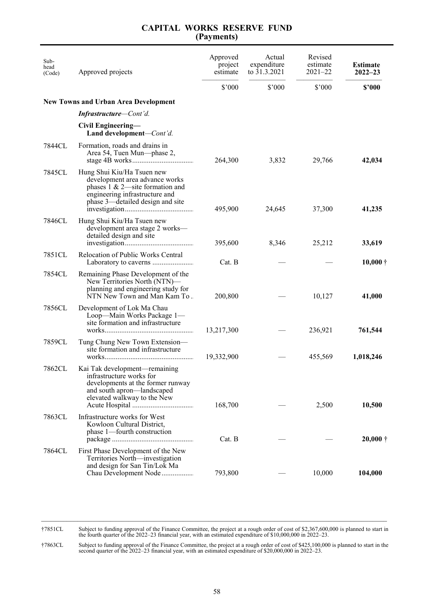| Sub-<br>head<br>(Code) | Approved projects                                                                                                                                                         | Approved<br>project<br>estimate | Actual<br>expenditure<br>to 31.3.2021 | Revised<br>estimate<br>$2021 - 22$ | <b>Estimate</b><br>$2022 - 23$ |
|------------------------|---------------------------------------------------------------------------------------------------------------------------------------------------------------------------|---------------------------------|---------------------------------------|------------------------------------|--------------------------------|
|                        |                                                                                                                                                                           | \$'000                          | \$'000                                | \$'000                             | \$2000                         |
|                        | <b>New Towns and Urban Area Development</b>                                                                                                                               |                                 |                                       |                                    |                                |
|                        | <b>Infrastructure–Cont'd.</b>                                                                                                                                             |                                 |                                       |                                    |                                |
|                        | Civil Engineering-<br>Land development-Cont'd.                                                                                                                            |                                 |                                       |                                    |                                |
| 7844CL                 | Formation, roads and drains in<br>Area 54, Tuen Mun—phase 2,                                                                                                              | 264,300                         | 3,832                                 | 29,766                             | 42,034                         |
| 7845CL                 | Hung Shui Kiu/Ha Tsuen new<br>development area advance works<br>phases $1 \& 2$ —site formation and<br>engineering infrastructure and<br>phase 3—detailed design and site | 495,900                         | 24,645                                | 37,300                             | 41,235                         |
| 7846CL                 | Hung Shui Kiu/Ha Tsuen new<br>development area stage 2 works-<br>detailed design and site                                                                                 | 395,600                         | 8,346                                 | 25,212                             | 33,619                         |
| 7851CL                 | <b>Relocation of Public Works Central</b>                                                                                                                                 | Cat. B                          |                                       |                                    | $10,000\dagger$                |
| 7854CL                 | Remaining Phase Development of the<br>New Territories North (NTN)-<br>planning and engineering study for<br>NTN New Town and Man Kam To.                                  | 200,800                         |                                       | 10,127                             | 41,000                         |
| 7856CL                 | Development of Lok Ma Chau<br>Loop-Main Works Package 1-<br>site formation and infrastructure                                                                             | 13,217,300                      |                                       | 236,921                            | 761,544                        |
| 7859CL                 | Tung Chung New Town Extension-<br>site formation and infrastructure                                                                                                       | 19,332,900                      |                                       | 455,569                            | 1,018,246                      |
| 7862CL                 | Kai Tak development—remaining<br>infrastructure works for<br>developments at the former runway<br>and south apron-landscaped<br>elevated walkway to the New               | 168,700                         |                                       | 2,500                              | 10,500                         |
| 7863CL                 | Infrastructure works for West<br>Kowloon Cultural District,<br>phase 1-fourth construction                                                                                | Cat. B                          |                                       |                                    | $20,000 \dagger$               |
| 7864CL                 | First Phase Development of the New<br>Territories North-investigation<br>and design for San Tin/Lok Ma                                                                    |                                 |                                       |                                    |                                |
|                        | Chau Development Node                                                                                                                                                     | 793,800                         |                                       | 10,000                             | 104,000                        |

\_\_\_\_\_\_\_\_\_\_\_\_\_\_\_\_\_\_\_\_\_\_\_\_\_\_\_\_\_\_\_\_\_\_\_\_\_\_\_\_\_\_\_\_\_\_\_\_\_\_\_\_\_\_\_\_\_\_\_\_\_\_\_\_\_\_\_\_\_\_\_\_\_\_\_\_\_\_\_\_\_\_\_\_\_\_\_\_\_\_\_\_\_\_\_ †7851CL Subject to funding approval of the Finance Committee, the project at a rough order of cost of \$2,367,600,000 is planned to start in the fourth quarter of the 2022–23 financial year, with an estimated expenditure of \$10,000,000 in 2022–23.

†7863CL Subject to funding approval of the Finance Committee, the project at a rough order of cost of \$425,100,000 is planned to start in the second quarter of the 2022–23 financial year, with an estimated expenditure of \$20,000,000 in 2022–23.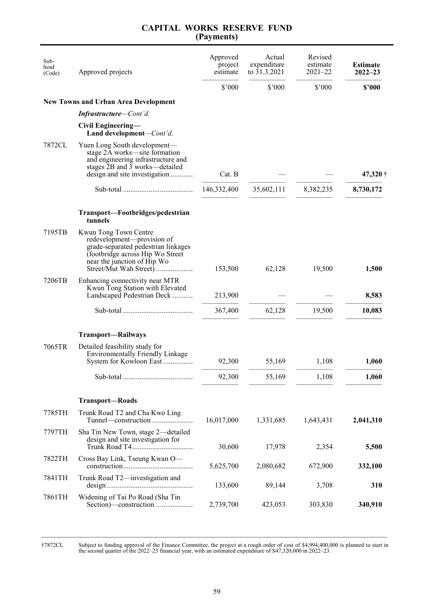| Sub-<br>head<br>(Code) | Approved projects                                                                                                                                                                                | Approved<br>project<br>estimate | Actual<br>expenditure<br>to 31.3.2021 | Revised<br>estimate<br>$2021 - 22$ | <b>Estimate</b><br>$2022 - 23$ |
|------------------------|--------------------------------------------------------------------------------------------------------------------------------------------------------------------------------------------------|---------------------------------|---------------------------------------|------------------------------------|--------------------------------|
|                        |                                                                                                                                                                                                  | \$'000                          | \$'000                                | \$'000                             | \$2000                         |
|                        | <b>New Towns and Urban Area Development</b>                                                                                                                                                      |                                 |                                       |                                    |                                |
|                        | Infrastructure-Cont'd.                                                                                                                                                                           |                                 |                                       |                                    |                                |
|                        | Civil Engineering-<br>Land development-Cont'd.                                                                                                                                                   |                                 |                                       |                                    |                                |
| 7872CL                 | Yuen Long South development-<br>stage 2A works-site formation<br>and engineering infrastructure and<br>stages $\overline{2}B$ and $\overline{3}$ works—detailed<br>design and site investigation | Cat. B                          |                                       |                                    | 47,320 †                       |
|                        |                                                                                                                                                                                                  | 146,332,400                     | 35,602,111                            | 8,382,235                          | 8,730,172                      |
|                        | Transport-Footbridges/pedestrian<br>tunnels                                                                                                                                                      |                                 |                                       |                                    |                                |
| 7195TB                 | Kwun Tong Town Centre<br>redevelopment-provision of<br>grade-separated pedestrian linkages<br>(footbridge across Hip Wo Street<br>near the junction of Hip Wo                                    | 153,500                         | 62,128                                | 19,500                             | 1,500                          |
| 7206TB                 | Enhancing connectivity near MTR<br>Kwun Tong Station with Elevated<br>Landscaped Pedestrian Deck                                                                                                 | 213,900                         |                                       |                                    | 8,583                          |
|                        |                                                                                                                                                                                                  | 367,400                         | 62,128                                | 19,500                             | 10,083                         |
|                        | <b>Transport—Railways</b>                                                                                                                                                                        |                                 |                                       |                                    |                                |
| 7065TR                 | Detailed feasibility study for<br><b>Environmentally Friendly Linkage</b><br>System for Kowloon East                                                                                             | 92,300                          | 55,169                                | 1,108                              | 1,060                          |
|                        |                                                                                                                                                                                                  | 92,300                          | 55,169                                | 1,108                              | 1,060                          |
|                        | <b>Transport-Roads</b>                                                                                                                                                                           |                                 |                                       |                                    |                                |
| 7785TH                 | Trunk Road T2 and Cha Kwo Ling                                                                                                                                                                   | 16,017,000                      | 1,331,685                             | 1,643,431                          | 2,041,310                      |
| 7797TH                 | Sha Tin New Town, stage 2-detailed<br>design and site investigation for                                                                                                                          | 30,600                          | 17,978                                | 2,354                              | 5,500                          |
| 7822TH                 | Cross Bay Link, Tseung Kwan O-                                                                                                                                                                   | 5,625,700                       | 2,080,682                             | 672,900                            | 332,100                        |
| 7841TH                 | Trunk Road T2-investigation and                                                                                                                                                                  | 133,600                         | 89,144                                | 3,708                              | 310                            |
| 7861TH                 | Widening of Tai Po Road (Sha Tin                                                                                                                                                                 | 2,739,700                       | 423,053                               | 303,830                            | 340,910                        |

†7872CL Subject to funding approval of the Finance Committee, the project at a rough order of cost of \$4,994,400,000 is planned to start in the second quarter of the 2022–23 financial year, with an estimated expenditure of \$47,320,000 in 2022–23.